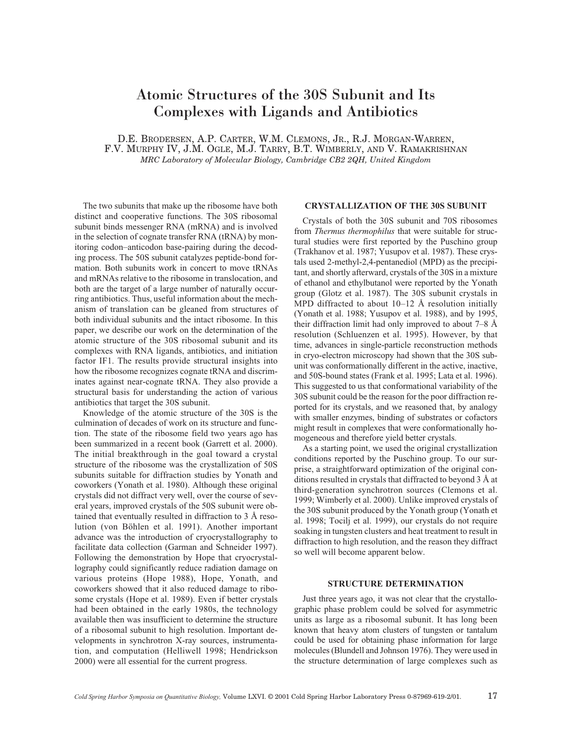# Atomic Structures of the 30S Subunit and Its Complexes with Ligands and Antibiotics

D.E. BRODERSEN, A.P. CARTER, W.M. CLEMONS, JR., R.J. MORGAN-WARREN, F.V. MURPHY IV, J.M. OGLE, M.J. TARRY, B.T. WIMBERLY, AND V. RAMAKRISHNAN *MRC Laboratory of Molecular Biology, Cambridge CB2 2QH, United Kingdom*

The two subunits that make up the ribosome have both distinct and cooperative functions. The 30S ribosomal subunit binds messenger RNA (mRNA) and is involved in the selection of cognate transfer RNA (tRNA) by monitoring codon–anticodon base-pairing during the decoding process. The 50S subunit catalyzes peptide-bond formation. Both subunits work in concert to move tRNAs and mRNAs relative to the ribosome in translocation, and both are the target of a large number of naturally occurring antibiotics. Thus, useful information about the mechanism of translation can be gleaned from structures of both individual subunits and the intact ribosome. In this paper, we describe our work on the determination of the atomic structure of the 30S ribosomal subunit and its complexes with RNA ligands, antibiotics, and initiation factor IF1. The results provide structural insights into how the ribosome recognizes cognate tRNA and discriminates against near-cognate tRNA. They also provide a structural basis for understanding the action of various antibiotics that target the 30S subunit.

Knowledge of the atomic structure of the 30S is the culmination of decades of work on its structure and function. The state of the ribosome field two years ago has been summarized in a recent book (Garrett et al. 2000). The initial breakthrough in the goal toward a crystal structure of the ribosome was the crystallization of 50S subunits suitable for diffraction studies by Yonath and coworkers (Yonath et al. 1980). Although these original crystals did not diffract very well, over the course of several years, improved crystals of the 50S subunit were obtained that eventually resulted in diffraction to 3 Å resolution (von Böhlen et al. 1991). Another important advance was the introduction of cryocrystallography to facilitate data collection (Garman and Schneider 1997). Following the demonstration by Hope that cryocrystallography could significantly reduce radiation damage on various proteins (Hope 1988), Hope, Yonath, and coworkers showed that it also reduced damage to ribosome crystals (Hope et al. 1989). Even if better crystals had been obtained in the early 1980s, the technology available then was insufficient to determine the structure of a ribosomal subunit to high resolution. Important developments in synchrotron X-ray sources, instrumentation, and computation (Helliwell 1998; Hendrickson 2000) were all essential for the current progress.

## **CRYSTALLIZATION OF THE 30S SUBUNIT**

Crystals of both the 30S subunit and 70S ribosomes from *Thermus thermophilus* that were suitable for structural studies were first reported by the Puschino group (Trakhanov et al. 1987; Yusupov et al. 1987). These crystals used 2-methyl-2,4-pentanediol (MPD) as the precipitant, and shortly afterward, crystals of the 30S in a mixture of ethanol and ethylbutanol were reported by the Yonath group (Glotz et al. 1987). The 30S subunit crystals in MPD diffracted to about 10–12 Å resolution initially (Yonath et al. 1988; Yusupov et al. 1988), and by 1995, their diffraction limit had only improved to about 7–8 Å resolution (Schluenzen et al. 1995). However, by that time, advances in single-particle reconstruction methods in cryo-electron microscopy had shown that the 30S subunit was conformationally different in the active, inactive, and 50S-bound states (Frank et al. 1995; Lata et al. 1996). This suggested to us that conformational variability of the 30S subunit could be the reason for the poor diffraction reported for its crystals, and we reasoned that, by analogy with smaller enzymes, binding of substrates or cofactors might result in complexes that were conformationally homogeneous and therefore yield better crystals.

As a starting point, we used the original crystallization conditions reported by the Puschino group. To our surprise, a straightforward optimization of the original conditions resulted in crystals that diffracted to beyond 3 Å at third-generation synchrotron sources (Clemons et al. 1999; Wimberly et al. 2000). Unlike improved crystals of the 30S subunit produced by the Yonath group (Yonath et al. 1998; Tocilj et al. 1999), our crystals do not require soaking in tungsten clusters and heat treatment to result in diffraction to high resolution, and the reason they diffract so well will become apparent below.

# **STRUCTURE DETERMINATION**

Just three years ago, it was not clear that the crystallographic phase problem could be solved for asymmetric units as large as a ribosomal subunit. It has long been known that heavy atom clusters of tungsten or tantalum could be used for obtaining phase information for large molecules (Blundell and Johnson 1976). They were used in the structure determination of large complexes such as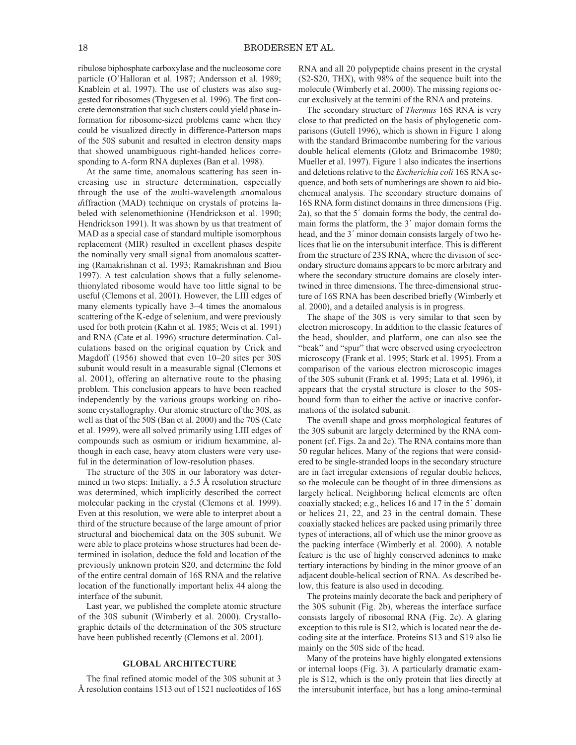ribulose biphosphate carboxylase and the nucleosome core particle (O'Halloran et al. 1987; Andersson et al. 1989; Knablein et al. 1997). The use of clusters was also suggested for ribosomes (Thygesen et al. 1996). The first concrete demonstration that such clusters could yield phase information for ribosome-sized problems came when they could be visualized directly in difference-Patterson maps of the 50S subunit and resulted in electron density maps that showed unambiguous right-handed helices corresponding to A-form RNA duplexes (Ban et al. 1998).

At the same time, anomalous scattering has seen increasing use in structure determination, especially through the use of the *m*ulti-wavelength *a*nomalous *d*iffraction (MAD) technique on crystals of proteins labeled with selenomethionine (Hendrickson et al. 1990; Hendrickson 1991). It was shown by us that treatment of MAD as a special case of standard multiple isomorphous replacement (MIR) resulted in excellent phases despite the nominally very small signal from anomalous scattering (Ramakrishnan et al. 1993; Ramakrishnan and Biou 1997). A test calculation shows that a fully selenomethionylated ribosome would have too little signal to be useful (Clemons et al. 2001). However, the LIII edges of many elements typically have 3–4 times the anomalous scattering of the K-edge of selenium, and were previously used for both protein (Kahn et al. 1985; Weis et al. 1991) and RNA (Cate et al. 1996) structure determination. Calculations based on the original equation by Crick and Magdoff (1956) showed that even 10–20 sites per 30S subunit would result in a measurable signal (Clemons et al. 2001), offering an alternative route to the phasing problem. This conclusion appears to have been reached independently by the various groups working on ribosome crystallography. Our atomic structure of the 30S, as well as that of the 50S (Ban et al. 2000) and the 70S (Cate et al. 1999), were all solved primarily using LIII edges of compounds such as osmium or iridium hexammine, although in each case, heavy atom clusters were very useful in the determination of low-resolution phases.

The structure of the 30S in our laboratory was determined in two steps: Initially, a 5.5 Å resolution structure was determined, which implicitly described the correct molecular packing in the crystal (Clemons et al. 1999). Even at this resolution, we were able to interpret about a third of the structure because of the large amount of prior structural and biochemical data on the 30S subunit. We were able to place proteins whose structures had been determined in isolation, deduce the fold and location of the previously unknown protein S20, and determine the fold of the entire central domain of 16S RNA and the relative location of the functionally important helix 44 along the interface of the subunit.

Last year, we published the complete atomic structure of the 30S subunit (Wimberly et al. 2000). Crystallographic details of the determination of the 30S structure have been published recently (Clemons et al. 2001).

## **GLOBAL ARCHITECTURE**

The final refined atomic model of the 30S subunit at 3 Å resolution contains 1513 out of 1521 nucleotides of 16S

RNA and all 20 polypeptide chains present in the crystal (S2-S20, THX), with 98% of the sequence built into the molecule (Wimberly et al. 2000). The missing regions occur exclusively at the termini of the RNA and proteins.

The secondary structure of *Thermus* 16S RNA is very close to that predicted on the basis of phylogenetic comparisons (Gutell 1996), which is shown in Figure 1 along with the standard Brimacombe numbering for the various double helical elements (Glotz and Brimacombe 1980; Mueller et al. 1997). Figure 1 also indicates the insertions and deletions relative to the *Escherichia coli* 16S RNA sequence, and both sets of numberings are shown to aid biochemical analysis. The secondary structure domains of 16S RNA form distinct domains in three dimensions (Fig. 2a), so that the 5´ domain forms the body, the central domain forms the platform, the 3´ major domain forms the head, and the 3´ minor domain consists largely of two helices that lie on the intersubunit interface. This is different from the structure of 23S RNA, where the division of secondary structure domains appears to be more arbitrary and where the secondary structure domains are closely intertwined in three dimensions. The three-dimensional structure of 16S RNA has been described briefly (Wimberly et al. 2000), and a detailed analysis is in progress.

The shape of the 30S is very similar to that seen by electron microscopy. In addition to the classic features of the head, shoulder, and platform, one can also see the "beak" and "spur" that were observed using cryoelectron microscopy (Frank et al. 1995; Stark et al. 1995). From a comparison of the various electron microscopic images of the 30S subunit (Frank et al. 1995; Lata et al. 1996), it appears that the crystal structure is closer to the 50Sbound form than to either the active or inactive conformations of the isolated subunit.

The overall shape and gross morphological features of the 30S subunit are largely determined by the RNA component (cf. Figs. 2a and 2c). The RNA contains more than 50 regular helices. Many of the regions that were considered to be single-stranded loops in the secondary structure are in fact irregular extensions of regular double helices, so the molecule can be thought of in three dimensions as largely helical. Neighboring helical elements are often coaxially stacked; e.g., helices 16 and 17 in the 5´ domain or helices 21, 22, and 23 in the central domain. These coaxially stacked helices are packed using primarily three types of interactions, all of which use the minor groove as the packing interface (Wimberly et al. 2000). A notable feature is the use of highly conserved adenines to make tertiary interactions by binding in the minor groove of an adjacent double-helical section of RNA. As described below, this feature is also used in decoding.

The proteins mainly decorate the back and periphery of the 30S subunit (Fig. 2b), whereas the interface surface consists largely of ribosomal RNA (Fig. 2c). A glaring exception to this rule is S12, which is located near the decoding site at the interface. Proteins S13 and S19 also lie mainly on the 50S side of the head.

Many of the proteins have highly elongated extensions or internal loops (Fig. 3). A particularly dramatic example is S12, which is the only protein that lies directly at the intersubunit interface, but has a long amino-terminal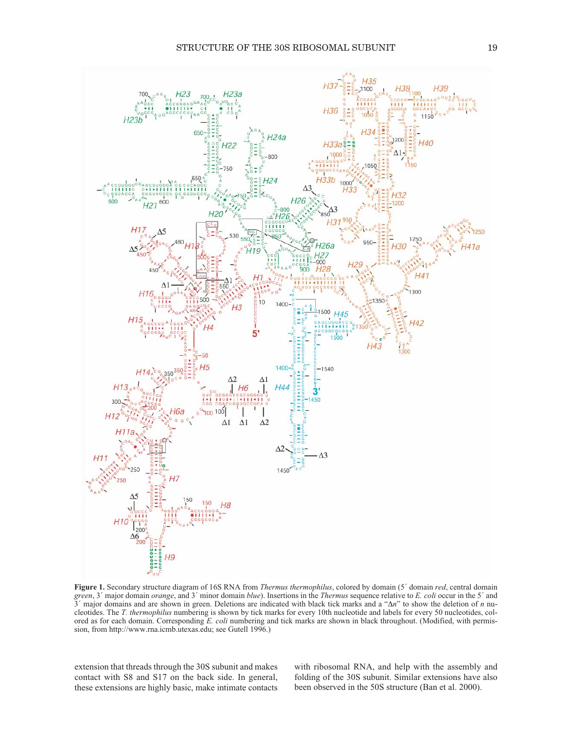

**Figure 1.** Secondary structure diagram of 16S RNA from *Thermus thermophilus*, colored by domain (5´ domain *red*, central domain *green*, 3´ major domain *orange*, and 3´ minor domain *blue*). Insertions in the *Thermus* sequence relative to *E. coli* occur in the 5´ and 3´ major domains and are shown in green. Deletions are indicated with black tick marks and a "∆*n*" to show the deletion of *n* nucleotides. The *T. thermophilus* numbering is shown by tick marks for every 10th nucleotide and labels for every 50 nucleotides, colored as for each domain. Corresponding *E. coli* numbering and tick marks are shown in black throughout. (Modified, with permission, from http://www.rna.icmb.utexas.edu; see Gutell 1996.)

extension that threads through the 30S subunit and makes contact with S8 and S17 on the back side. In general, these extensions are highly basic, make intimate contacts with ribosomal RNA, and help with the assembly and folding of the 30S subunit. Similar extensions have also been observed in the 50S structure (Ban et al. 2000).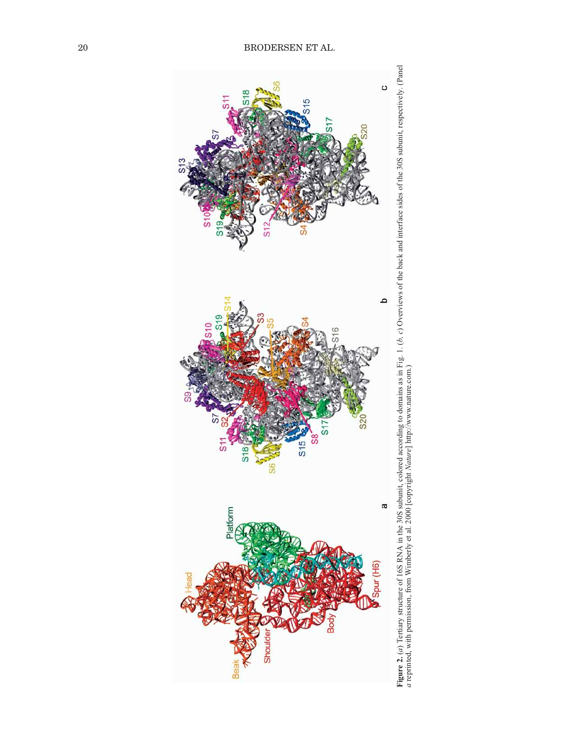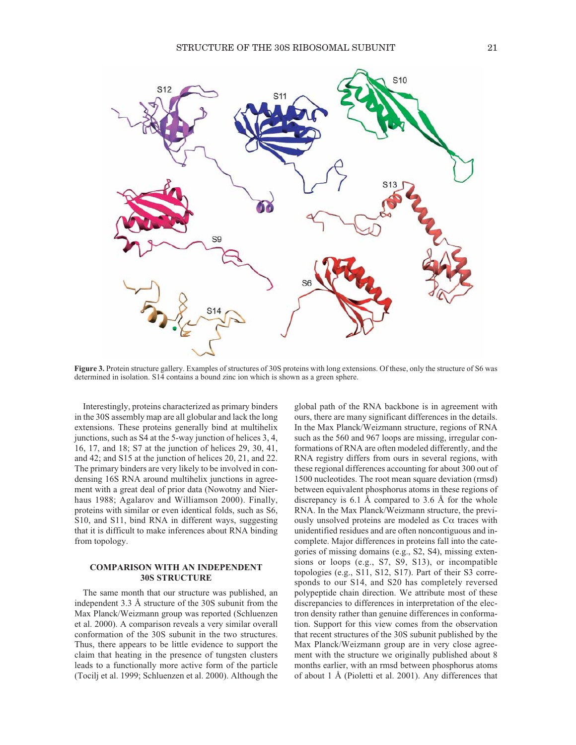

**Figure 3.** Protein structure gallery. Examples of structures of 30S proteins with long extensions. Of these, only the structure of S6 was determined in isolation. S14 contains a bound zinc ion which is shown as a green sphere.

Interestingly, proteins characterized as primary binders in the 30S assembly map are all globular and lack the long extensions. These proteins generally bind at multihelix junctions, such as S4 at the 5-way junction of helices 3, 4, 16, 17, and 18; S7 at the junction of helices 29, 30, 41, and 42; and S15 at the junction of helices 20, 21, and 22. The primary binders are very likely to be involved in condensing 16S RNA around multihelix junctions in agreement with a great deal of prior data (Nowotny and Nierhaus 1988; Agalarov and Williamson 2000). Finally, proteins with similar or even identical folds, such as S6, S10, and S11, bind RNA in different ways, suggesting that it is difficult to make inferences about RNA binding from topology.

# **COMPARISON WITH AN INDEPENDENT 30S STRUCTURE**

The same month that our structure was published, an independent 3.3 Å structure of the 30S subunit from the Max Planck/Weizmann group was reported (Schluenzen et al. 2000). A comparison reveals a very similar overall conformation of the 30S subunit in the two structures. Thus, there appears to be little evidence to support the claim that heating in the presence of tungsten clusters leads to a functionally more active form of the particle (Tocilj et al. 1999; Schluenzen et al. 2000). Although the global path of the RNA backbone is in agreement with ours, there are many significant differences in the details. In the Max Planck/Weizmann structure, regions of RNA such as the 560 and 967 loops are missing, irregular conformations of RNA are often modeled differently, and the RNA registry differs from ours in several regions, with these regional differences accounting for about 300 out of 1500 nucleotides. The root mean square deviation (rmsd) between equivalent phosphorus atoms in these regions of discrepancy is 6.1 Å compared to 3.6 Å for the whole RNA. In the Max Planck/Weizmann structure, the previously unsolved proteins are modeled as  $Ca$  traces with unidentified residues and are often noncontiguous and incomplete. Major differences in proteins fall into the categories of missing domains (e.g., S2, S4), missing extensions or loops (e.g., S7, S9, S13), or incompatible topologies (e.g., S11, S12, S17). Part of their S3 corresponds to our S14, and S20 has completely reversed polypeptide chain direction. We attribute most of these discrepancies to differences in interpretation of the electron density rather than genuine differences in conformation. Support for this view comes from the observation that recent structures of the 30S subunit published by the Max Planck/Weizmann group are in very close agreement with the structure we originally published about 8 months earlier, with an rmsd between phosphorus atoms of about 1 Å (Pioletti et al. 2001). Any differences that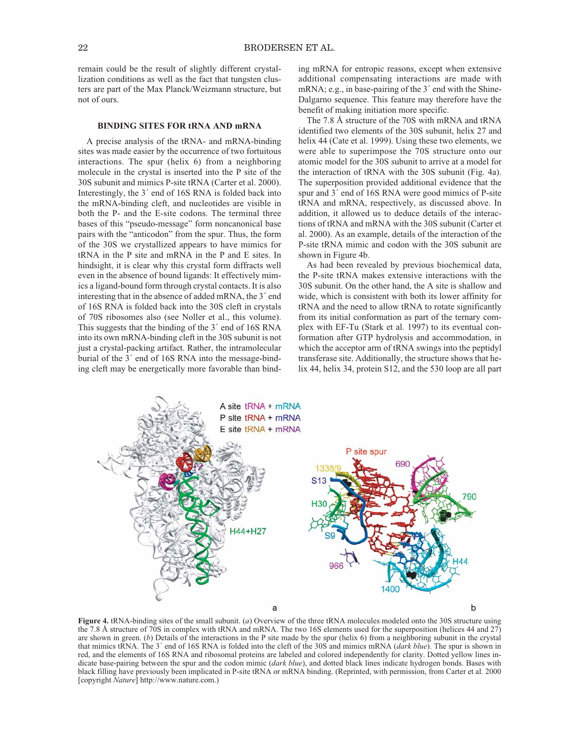remain could be the result of slightly different crystallization conditions as well as the fact that tungsten clusters are part of the Max Planck/Weizmann structure, but not of ours.

## **BINDING SITES FOR tRNA AND mRNA**

A precise analysis of the tRNA- and mRNA-binding sites was made easier by the occurrence of two fortuitous interactions. The spur (helix 6) from a neighboring molecule in the crystal is inserted into the P site of the 30S subunit and mimics P-site tRNA (Carter et al. 2000). Interestingly, the 3´ end of 16S RNA is folded back into the mRNA-binding cleft, and nucleotides are visible in both the P- and the E-site codons. The terminal three bases of this "pseudo-message" form noncanonical base pairs with the "anticodon" from the spur. Thus, the form of the 30S we crystallized appears to have mimics for tRNA in the P site and mRNA in the P and E sites. In hindsight, it is clear why this crystal form diffracts well even in the absence of bound ligands: It effectively mimics a ligand-bound form through crystal contacts. It is also interesting that in the absence of added mRNA, the 3´ end of 16S RNA is folded back into the 30S cleft in crystals of 70S ribosomes also (see Noller et al., this volume). This suggests that the binding of the 3´ end of 16S RNA into its own mRNA-binding cleft in the 30S subunit is not just a crystal-packing artifact. Rather, the intramolecular burial of the 3´ end of 16S RNA into the message-binding cleft may be energetically more favorable than bind-

ing mRNA for entropic reasons, except when extensive additional compensating interactions are made with mRNA; e.g., in base-pairing of the 3´ end with the Shine-Dalgarno sequence. This feature may therefore have the benefit of making initiation more specific.

The 7.8 Å structure of the 70S with mRNA and tRNA identified two elements of the 30S subunit, helix 27 and helix 44 (Cate et al. 1999). Using these two elements, we were able to superimpose the 70S structure onto our atomic model for the 30S subunit to arrive at a model for the interaction of tRNA with the 30S subunit (Fig. 4a). The superposition provided additional evidence that the spur and 3´ end of 16S RNA were good mimics of P-site tRNA and mRNA, respectively, as discussed above. In addition, it allowed us to deduce details of the interactions of tRNA and mRNA with the 30S subunit (Carter et al. 2000). As an example, details of the interaction of the P-site tRNA mimic and codon with the 30S subunit are shown in Figure 4b.

As had been revealed by previous biochemical data, the P-site tRNA makes extensive interactions with the 30S subunit. On the other hand, the A site is shallow and wide, which is consistent with both its lower affinity for tRNA and the need to allow tRNA to rotate significantly from its initial conformation as part of the ternary complex with EF-Tu (Stark et al. 1997) to its eventual conformation after GTP hydrolysis and accommodation, in which the acceptor arm of tRNA swings into the peptidyl transferase site. Additionally, the structure shows that helix 44, helix 34, protein S12, and the 530 loop are all part



**Figure 4.** tRNA-binding sites of the small subunit. (*a*) Overview of the three tRNA molecules modeled onto the 30S structure using the 7.8 Å structure of 70S in complex with tRNA and mRNA. The two 16S elements used for the superposition (helices 44 and 27) are shown in green. (*b*) Details of the interactions in the P site made by the spur (helix 6) from a neighboring subunit in the crystal that mimics tRNA. The 3´ end of 16S RNA is folded into the cleft of the 30S and mimics mRNA (*dark blue*). The spur is shown in red, and the elements of 16S RNA and ribosomal proteins are labeled and colored independently for clarity. Dotted yellow lines indicate base-pairing between the spur and the codon mimic (*dark blue*), and dotted black lines indicate hydrogen bonds. Bases with black filling have previously been implicated in P-site tRNA or mRNA binding. (Reprinted, with permission, from Carter et al. 2000 [copyright *Nature*] http://www.nature.com.)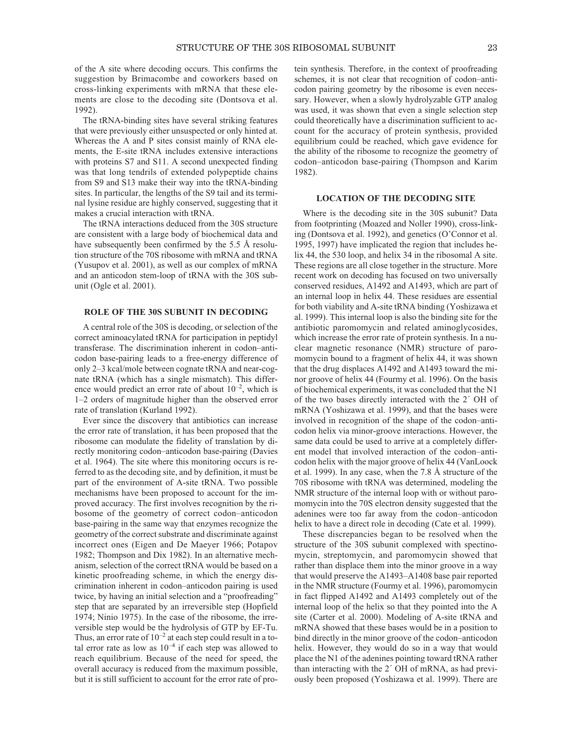of the A site where decoding occurs. This confirms the suggestion by Brimacombe and coworkers based on cross-linking experiments with mRNA that these elements are close to the decoding site (Dontsova et al. 1992).

The tRNA-binding sites have several striking features that were previously either unsuspected or only hinted at. Whereas the A and P sites consist mainly of RNA elements, the E-site tRNA includes extensive interactions with proteins S7 and S11. A second unexpected finding was that long tendrils of extended polypeptide chains from S9 and S13 make their way into the tRNA-binding sites. In particular, the lengths of the S9 tail and its terminal lysine residue are highly conserved, suggesting that it makes a crucial interaction with tRNA.

The tRNA interactions deduced from the 30S structure are consistent with a large body of biochemical data and have subsequently been confirmed by the 5.5 Å resolution structure of the 70S ribosome with mRNA and tRNA (Yusupov et al. 2001), as well as our complex of mRNA and an anticodon stem-loop of tRNA with the 30S subunit (Ogle et al. 2001).

## **ROLE OF THE 30S SUBUNIT IN DECODING**

A central role of the 30S is decoding, or selection of the correct aminoacylated tRNA for participation in peptidyl transferase. The discrimination inherent in codon–anticodon base-pairing leads to a free-energy difference of only 2–3 kcal/mole between cognate tRNA and near-cognate tRNA (which has a single mismatch). This difference would predict an error rate of about  $10^{-2}$ , which is 1–2 orders of magnitude higher than the observed error rate of translation (Kurland 1992).

Ever since the discovery that antibiotics can increase the error rate of translation, it has been proposed that the ribosome can modulate the fidelity of translation by directly monitoring codon–anticodon base-pairing (Davies et al. 1964). The site where this monitoring occurs is referred to as the decoding site, and by definition, it must be part of the environment of A-site tRNA. Two possible mechanisms have been proposed to account for the improved accuracy. The first involves recognition by the ribosome of the geometry of correct codon–anticodon base-pairing in the same way that enzymes recognize the geometry of the correct substrate and discriminate against incorrect ones (Eigen and De Maeyer 1966; Potapov 1982; Thompson and Dix 1982). In an alternative mechanism, selection of the correct tRNA would be based on a kinetic proofreading scheme, in which the energy discrimination inherent in codon–anticodon pairing is used twice, by having an initial selection and a "proofreading" step that are separated by an irreversible step (Hopfield 1974; Ninio 1975). In the case of the ribosome, the irreversible step would be the hydrolysis of GTP by EF-Tu. Thus, an error rate of  $10^{-2}$  at each step could result in a total error rate as low as  $10^{-4}$  if each step was allowed to reach equilibrium. Because of the need for speed, the overall accuracy is reduced from the maximum possible, but it is still sufficient to account for the error rate of protein synthesis. Therefore, in the context of proofreading schemes, it is not clear that recognition of codon–anticodon pairing geometry by the ribosome is even necessary. However, when a slowly hydrolyzable GTP analog was used, it was shown that even a single selection step could theoretically have a discrimination sufficient to account for the accuracy of protein synthesis, provided equilibrium could be reached, which gave evidence for the ability of the ribosome to recognize the geometry of codon–anticodon base-pairing (Thompson and Karim 1982).

## **LOCATION OF THE DECODING SITE**

Where is the decoding site in the 30S subunit? Data from footprinting (Moazed and Noller 1990), cross-linking (Dontsova et al. 1992), and genetics (O'Connor et al. 1995, 1997) have implicated the region that includes helix 44, the 530 loop, and helix 34 in the ribosomal A site. These regions are all close together in the structure. More recent work on decoding has focused on two universally conserved residues, A1492 and A1493, which are part of an internal loop in helix 44. These residues are essential for both viability and A-site tRNA binding (Yoshizawa et al. 1999). This internal loop is also the binding site for the antibiotic paromomycin and related aminoglycosides, which increase the error rate of protein synthesis. In a nuclear magnetic resonance (NMR) structure of paromomycin bound to a fragment of helix 44, it was shown that the drug displaces A1492 and A1493 toward the minor groove of helix 44 (Fourmy et al. 1996). On the basis of biochemical experiments, it was concluded that the N1 of the two bases directly interacted with the 2´ OH of mRNA (Yoshizawa et al. 1999), and that the bases were involved in recognition of the shape of the codon–anticodon helix via minor-groove interactions. However, the same data could be used to arrive at a completely different model that involved interaction of the codon–anticodon helix with the major groove of helix 44 (VanLoock et al. 1999). In any case, when the 7.8 Å structure of the 70S ribosome with tRNA was determined, modeling the NMR structure of the internal loop with or without paromomycin into the 70S electron density suggested that the adenines were too far away from the codon–anticodon helix to have a direct role in decoding (Cate et al. 1999).

These discrepancies began to be resolved when the structure of the 30S subunit complexed with spectinomycin, streptomycin, and paromomycin showed that rather than displace them into the minor groove in a way that would preserve the A1493–A1408 base pair reported in the NMR structure (Fourmy et al. 1996), paromomycin in fact flipped A1492 and A1493 completely out of the internal loop of the helix so that they pointed into the A site (Carter et al. 2000). Modeling of A-site tRNA and mRNA showed that these bases would be in a position to bind directly in the minor groove of the codon–anticodon helix. However, they would do so in a way that would place the N1 of the adenines pointing toward tRNA rather than interacting with the 2´ OH of mRNA, as had previously been proposed (Yoshizawa et al. 1999). There are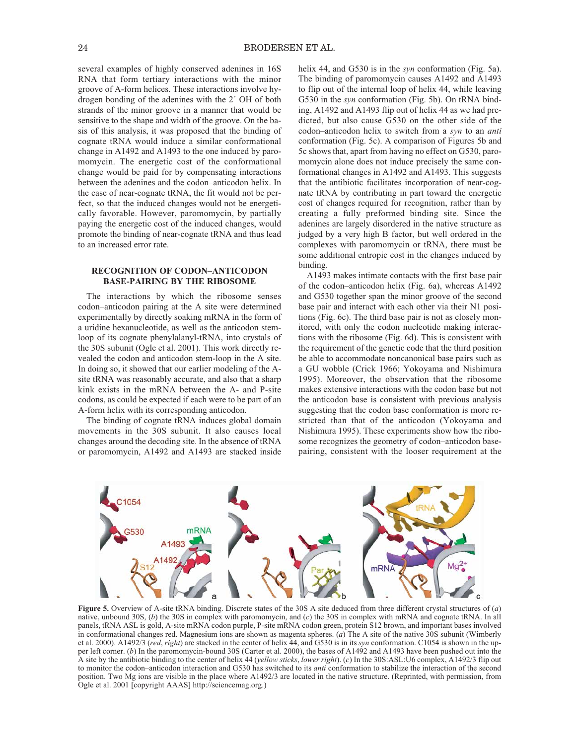several examples of highly conserved adenines in 16S RNA that form tertiary interactions with the minor groove of A-form helices. These interactions involve hydrogen bonding of the adenines with the 2´ OH of both strands of the minor groove in a manner that would be sensitive to the shape and width of the groove. On the basis of this analysis, it was proposed that the binding of cognate tRNA would induce a similar conformational change in A1492 and A1493 to the one induced by paromomycin. The energetic cost of the conformational change would be paid for by compensating interactions between the adenines and the codon–anticodon helix. In the case of near-cognate tRNA, the fit would not be perfect, so that the induced changes would not be energetically favorable. However, paromomycin, by partially paying the energetic cost of the induced changes, would promote the binding of near-cognate tRNA and thus lead to an increased error rate.

# **RECOGNITION OF CODON–ANTICODON BASE-PAIRING BY THE RIBOSOME**

The interactions by which the ribosome senses codon–anticodon pairing at the A site were determined experimentally by directly soaking mRNA in the form of a uridine hexanucleotide, as well as the anticodon stemloop of its cognate phenylalanyl-tRNA, into crystals of the 30S subunit (Ogle et al. 2001). This work directly revealed the codon and anticodon stem-loop in the A site. In doing so, it showed that our earlier modeling of the Asite tRNA was reasonably accurate, and also that a sharp kink exists in the mRNA between the A- and P-site codons, as could be expected if each were to be part of an A-form helix with its corresponding anticodon.

The binding of cognate tRNA induces global domain movements in the 30S subunit. It also causes local changes around the decoding site. In the absence of tRNA or paromomycin, A1492 and A1493 are stacked inside

helix 44, and G530 is in the *syn* conformation (Fig. 5a). The binding of paromomycin causes A1492 and A1493 to flip out of the internal loop of helix 44, while leaving G530 in the *syn* conformation (Fig. 5b). On tRNA binding, A1492 and A1493 flip out of helix 44 as we had predicted, but also cause G530 on the other side of the codon–anticodon helix to switch from a *syn* to an *anti* conformation (Fig. 5c). A comparison of Figures 5b and 5c shows that, apart from having no effect on G530, paromomycin alone does not induce precisely the same conformational changes in A1492 and A1493. This suggests that the antibiotic facilitates incorporation of near-cognate tRNA by contributing in part toward the energetic cost of changes required for recognition, rather than by creating a fully preformed binding site. Since the adenines are largely disordered in the native structure as judged by a very high B factor, but well ordered in the complexes with paromomycin or tRNA, there must be some additional entropic cost in the changes induced by binding.

A1493 makes intimate contacts with the first base pair of the codon–anticodon helix (Fig. 6a), whereas A1492 and G530 together span the minor groove of the second base pair and interact with each other via their N1 positions (Fig. 6c). The third base pair is not as closely monitored, with only the codon nucleotide making interactions with the ribosome (Fig. 6d). This is consistent with the requirement of the genetic code that the third position be able to accommodate noncanonical base pairs such as a GU wobble (Crick 1966; Yokoyama and Nishimura 1995). Moreover, the observation that the ribosome makes extensive interactions with the codon base but not the anticodon base is consistent with previous analysis suggesting that the codon base conformation is more restricted than that of the anticodon (Yokoyama and Nishimura 1995). These experiments show how the ribosome recognizes the geometry of codon–anticodon basepairing, consistent with the looser requirement at the



**Figure 5.** Overview of A-site tRNA binding. Discrete states of the 30S A site deduced from three different crystal structures of (*a*) native, unbound 30S, (*b*) the 30S in complex with paromomycin, and (*c*) the 30S in complex with mRNA and cognate tRNA. In all panels, tRNA ASL is gold, A-site mRNA codon purple, P-site mRNA codon green, protein S12 brown, and important bases involved in conformational changes red. Magnesium ions are shown as magenta spheres. (*a*) The A site of the native 30S subunit (Wimberly et al. 2000). A1492/3 (*red*, *right*) are stacked in the center of helix 44, and G530 is in its *syn* conformation. C1054 is shown in the upper left corner. (*b*) In the paromomycin-bound 30S (Carter et al. 2000), the bases of A1492 and A1493 have been pushed out into the A site by the antibiotic binding to the center of helix 44 (*yellow sticks*, *lower right*). (*c*) In the 30S:ASL:U6 complex, A1492/3 flip out to monitor the codon–anticodon interaction and G530 has switched to its *anti* conformation to stabilize the interaction of the second position. Two Mg ions are visible in the place where A1492/3 are located in the native structure. (Reprinted, with permission, from Ogle et al. 2001 [copyright AAAS] http://sciencemag.org.)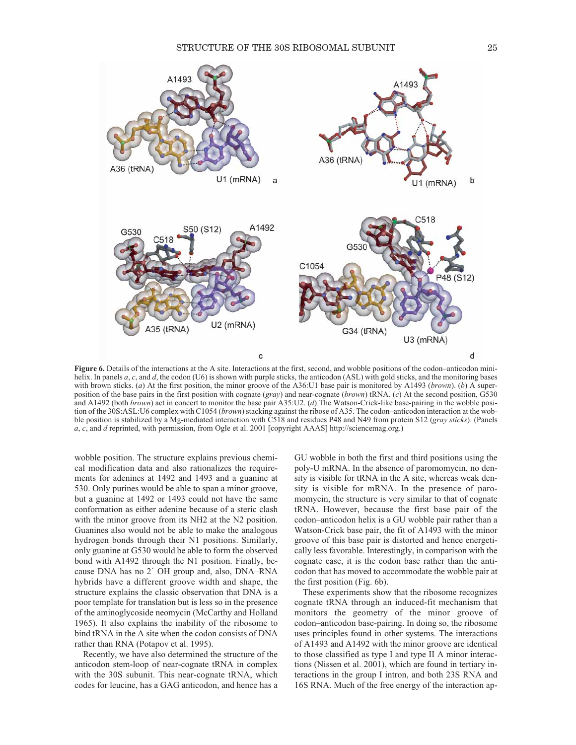

**Figure 6.** Details of the interactions at the A site. Interactions at the first, second, and wobble positions of the codon–anticodon minihelix. In panels *a*, *c*, and *d*, the codon (U6) is shown with purple sticks, the anticodon (ASL) with gold sticks, and the monitoring bases with brown sticks. (*a*) At the first position, the minor groove of the A36:U1 base pair is monitored by A1493 (*brown*). (*b*) A superposition of the base pairs in the first position with cognate (*gray*) and near-cognate (*brown*) tRNA. (*c*) At the second position, G530 and A1492 (both *brown*) act in concert to monitor the base pair A35:U2. (*d*) The Watson-Crick-like base-pairing in the wobble position of the 30S:ASL:U6 complex with C1054 (*brown*) stacking against the ribose of A35. The codon–anticodon interaction at the wobble position is stabilized by a Mg-mediated interaction with C518 and residues P48 and N49 from protein S12 (*gray sticks*). (Panels *a*, *c*, and *d* reprinted, with permission, from Ogle et al. 2001 [copyright AAAS] http://sciencemag.org.)

wobble position. The structure explains previous chemical modification data and also rationalizes the requirements for adenines at 1492 and 1493 and a guanine at 530. Only purines would be able to span a minor groove, but a guanine at 1492 or 1493 could not have the same conformation as either adenine because of a steric clash with the minor groove from its NH2 at the N2 position. Guanines also would not be able to make the analogous hydrogen bonds through their N1 positions. Similarly, only guanine at G530 would be able to form the observed bond with A1492 through the N1 position. Finally, because DNA has no 2´ OH group and, also, DNA–RNA hybrids have a different groove width and shape, the structure explains the classic observation that DNA is a poor template for translation but is less so in the presence of the aminoglycoside neomycin (McCarthy and Holland 1965). It also explains the inability of the ribosome to bind tRNA in the A site when the codon consists of DNA rather than RNA (Potapov et al. 1995).

Recently, we have also determined the structure of the anticodon stem-loop of near-cognate tRNA in complex with the 30S subunit. This near-cognate tRNA, which codes for leucine, has a GAG anticodon, and hence has a GU wobble in both the first and third positions using the poly-U mRNA. In the absence of paromomycin, no density is visible for tRNA in the A site, whereas weak density is visible for mRNA. In the presence of paromomycin, the structure is very similar to that of cognate tRNA. However, because the first base pair of the codon–anticodon helix is a GU wobble pair rather than a Watson-Crick base pair, the fit of A1493 with the minor groove of this base pair is distorted and hence energetically less favorable. Interestingly, in comparison with the cognate case, it is the codon base rather than the anticodon that has moved to accommodate the wobble pair at the first position (Fig. 6b).

These experiments show that the ribosome recognizes cognate tRNA through an induced-fit mechanism that monitors the geometry of the minor groove of codon–anticodon base-pairing. In doing so, the ribosome uses principles found in other systems. The interactions of A1493 and A1492 with the minor groove are identical to those classified as type I and type II A minor interactions (Nissen et al. 2001), which are found in tertiary interactions in the group I intron, and both 23S RNA and 16S RNA. Much of the free energy of the interaction ap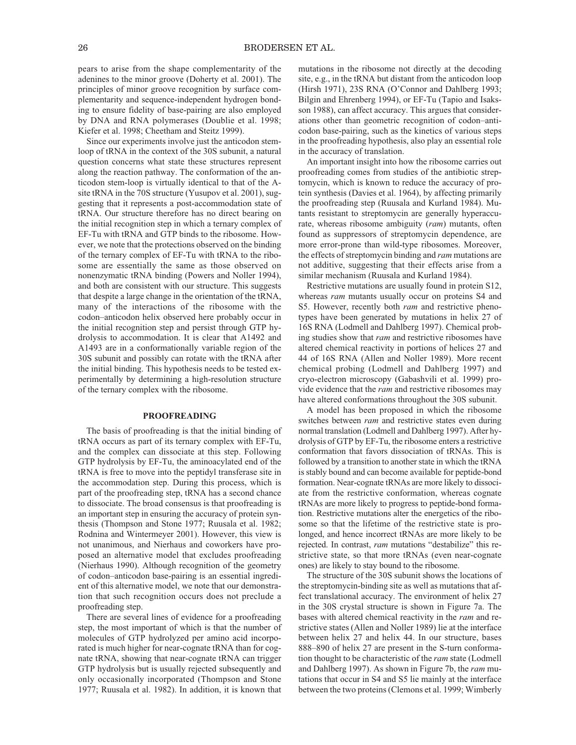pears to arise from the shape complementarity of the adenines to the minor groove (Doherty et al. 2001). The principles of minor groove recognition by surface complementarity and sequence-independent hydrogen bonding to ensure fidelity of base-pairing are also employed by DNA and RNA polymerases (Doublie et al. 1998; Kiefer et al. 1998; Cheetham and Steitz 1999).

Since our experiments involve just the anticodon stemloop of tRNA in the context of the 30S subunit, a natural question concerns what state these structures represent along the reaction pathway. The conformation of the anticodon stem-loop is virtually identical to that of the Asite tRNA in the 70S structure (Yusupov et al. 2001), suggesting that it represents a post-accommodation state of tRNA. Our structure therefore has no direct bearing on the initial recognition step in which a ternary complex of EF-Tu with tRNA and GTP binds to the ribosome. However, we note that the protections observed on the binding of the ternary complex of EF-Tu with tRNA to the ribosome are essentially the same as those observed on nonenzymatic tRNA binding (Powers and Noller 1994), and both are consistent with our structure. This suggests that despite a large change in the orientation of the tRNA, many of the interactions of the ribosome with the codon–anticodon helix observed here probably occur in the initial recognition step and persist through GTP hydrolysis to accommodation. It is clear that A1492 and A1493 are in a conformationally variable region of the 30S subunit and possibly can rotate with the tRNA after the initial binding. This hypothesis needs to be tested experimentally by determining a high-resolution structure of the ternary complex with the ribosome.

#### **PROOFREADING**

The basis of proofreading is that the initial binding of tRNA occurs as part of its ternary complex with EF-Tu, and the complex can dissociate at this step. Following GTP hydrolysis by EF-Tu, the aminoacylated end of the tRNA is free to move into the peptidyl transferase site in the accommodation step. During this process, which is part of the proofreading step, tRNA has a second chance to dissociate. The broad consensus is that proofreading is an important step in ensuring the accuracy of protein synthesis (Thompson and Stone 1977; Ruusala et al. 1982; Rodnina and Wintermeyer 2001). However, this view is not unanimous, and Nierhaus and coworkers have proposed an alternative model that excludes proofreading (Nierhaus 1990). Although recognition of the geometry of codon–anticodon base-pairing is an essential ingredient of this alternative model, we note that our demonstration that such recognition occurs does not preclude a proofreading step.

There are several lines of evidence for a proofreading step, the most important of which is that the number of molecules of GTP hydrolyzed per amino acid incorporated is much higher for near-cognate tRNA than for cognate tRNA, showing that near-cognate tRNA can trigger GTP hydrolysis but is usually rejected subsequently and only occasionally incorporated (Thompson and Stone 1977; Ruusala et al. 1982). In addition, it is known that mutations in the ribosome not directly at the decoding site, e.g., in the tRNA but distant from the anticodon loop (Hirsh 1971), 23S RNA (O'Connor and Dahlberg 1993; Bilgin and Ehrenberg 1994), or EF-Tu (Tapio and Isaksson 1988), can affect accuracy. This argues that considerations other than geometric recognition of codon–anticodon base-pairing, such as the kinetics of various steps in the proofreading hypothesis, also play an essential role in the accuracy of translation.

An important insight into how the ribosome carries out proofreading comes from studies of the antibiotic streptomycin, which is known to reduce the accuracy of protein synthesis (Davies et al. 1964), by affecting primarily the proofreading step (Ruusala and Kurland 1984). Mutants resistant to streptomycin are generally hyperaccurate, whereas ribosome ambiguity (*ram*) mutants, often found as suppressors of streptomycin dependence, are more error-prone than wild-type ribosomes. Moreover, the effects of streptomycin binding and *ram* mutations are not additive, suggesting that their effects arise from a similar mechanism (Ruusala and Kurland 1984).

Restrictive mutations are usually found in protein S12, whereas *ram* mutants usually occur on proteins S4 and S5. However, recently both *ram* and restrictive phenotypes have been generated by mutations in helix 27 of 16S RNA (Lodmell and Dahlberg 1997). Chemical probing studies show that *ram* and restrictive ribosomes have altered chemical reactivity in portions of helices 27 and 44 of 16S RNA (Allen and Noller 1989). More recent chemical probing (Lodmell and Dahlberg 1997) and cryo-electron microscopy (Gabashvili et al. 1999) provide evidence that the *ram* and restrictive ribosomes may have altered conformations throughout the 30S subunit.

A model has been proposed in which the ribosome switches between *ram* and restrictive states even during normal translation (Lodmell and Dahlberg 1997). After hydrolysis of GTP by EF-Tu, the ribosome enters a restrictive conformation that favors dissociation of tRNAs. This is followed by a transition to another state in which the tRNA is stably bound and can become available for peptide-bond formation. Near-cognate tRNAs are more likely to dissociate from the restrictive conformation, whereas cognate tRNAs are more likely to progress to peptide-bond formation. Restrictive mutations alter the energetics of the ribosome so that the lifetime of the restrictive state is prolonged, and hence incorrect tRNAs are more likely to be rejected. In contrast, *ram* mutations "destabilize" this restrictive state, so that more tRNAs (even near-cognate ones) are likely to stay bound to the ribosome.

The structure of the 30S subunit shows the locations of the streptomycin-binding site as well as mutations that affect translational accuracy. The environment of helix 27 in the 30S crystal structure is shown in Figure 7a. The bases with altered chemical reactivity in the *ram* and restrictive states (Allen and Noller 1989) lie at the interface between helix 27 and helix 44. In our structure, bases 888–890 of helix 27 are present in the S-turn conformation thought to be characteristic of the *ram* state (Lodmell and Dahlberg 1997). As shown in Figure 7b, the *ram* mutations that occur in S4 and S5 lie mainly at the interface between the two proteins (Clemons et al. 1999; Wimberly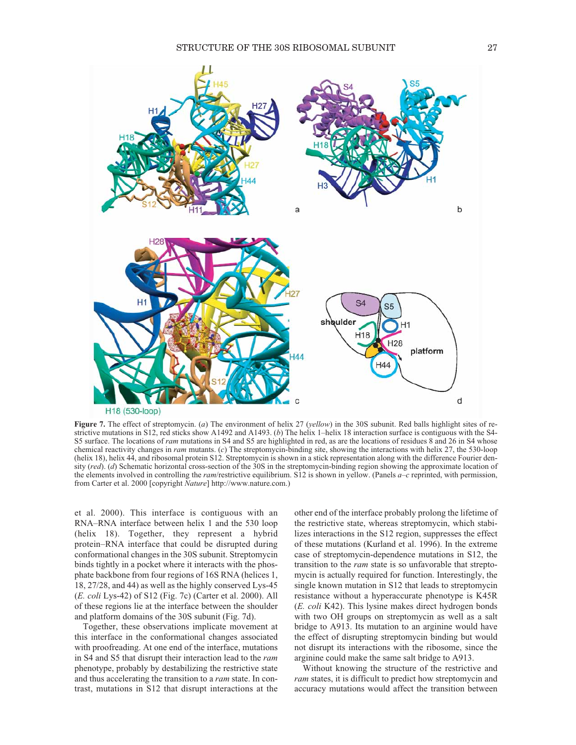

**Figure 7.** The effect of streptomycin. (*a*) The environment of helix 27 (*yellow*) in the 30S subunit. Red balls highlight sites of restrictive mutations in S12, red sticks show A1492 and A1493. (*b*) The helix 1–helix 18 interaction surface is contiguous with the S4-S5 surface. The locations of *ram* mutations in S4 and S5 are highlighted in red, as are the locations of residues 8 and 26 in S4 whose chemical reactivity changes in *ram* mutants. (*c*) The streptomycin-binding site, showing the interactions with helix 27, the 530-loop (helix 18), helix 44, and ribosomal protein S12. Streptomycin is shown in a stick representation along with the difference Fourier density (*red*). (*d*) Schematic horizontal cross-section of the 30S in the streptomycin-binding region showing the approximate location of the elements involved in controlling the *ram*/restrictive equilibrium. S12 is shown in yellow. (Panels *a*–*c* reprinted, with permission, from Carter et al. 2000 [copyright *Nature*] http://www.nature.com.)

et al. 2000). This interface is contiguous with an RNA–RNA interface between helix 1 and the 530 loop (helix 18). Together, they represent a hybrid protein–RNA interface that could be disrupted during conformational changes in the 30S subunit. Streptomycin binds tightly in a pocket where it interacts with the phosphate backbone from four regions of 16S RNA (helices 1, 18, 27/28, and 44) as well as the highly conserved Lys-45 (*E. coli* Lys-42) of S12 (Fig. 7c) (Carter et al. 2000). All of these regions lie at the interface between the shoulder and platform domains of the 30S subunit (Fig. 7d).

Together, these observations implicate movement at this interface in the conformational changes associated with proofreading. At one end of the interface, mutations in S4 and S5 that disrupt their interaction lead to the *ram* phenotype, probably by destabilizing the restrictive state and thus accelerating the transition to a *ram* state. In contrast, mutations in S12 that disrupt interactions at the other end of the interface probably prolong the lifetime of the restrictive state, whereas streptomycin, which stabilizes interactions in the S12 region, suppresses the effect of these mutations (Kurland et al. 1996). In the extreme case of streptomycin-dependence mutations in S12, the transition to the *ram* state is so unfavorable that streptomycin is actually required for function. Interestingly, the single known mutation in S12 that leads to streptomycin resistance without a hyperaccurate phenotype is K45R (*E. coli* K42). This lysine makes direct hydrogen bonds with two OH groups on streptomycin as well as a salt bridge to A913. Its mutation to an arginine would have the effect of disrupting streptomycin binding but would not disrupt its interactions with the ribosome, since the arginine could make the same salt bridge to A913.

Without knowing the structure of the restrictive and *ram* states, it is difficult to predict how streptomycin and accuracy mutations would affect the transition between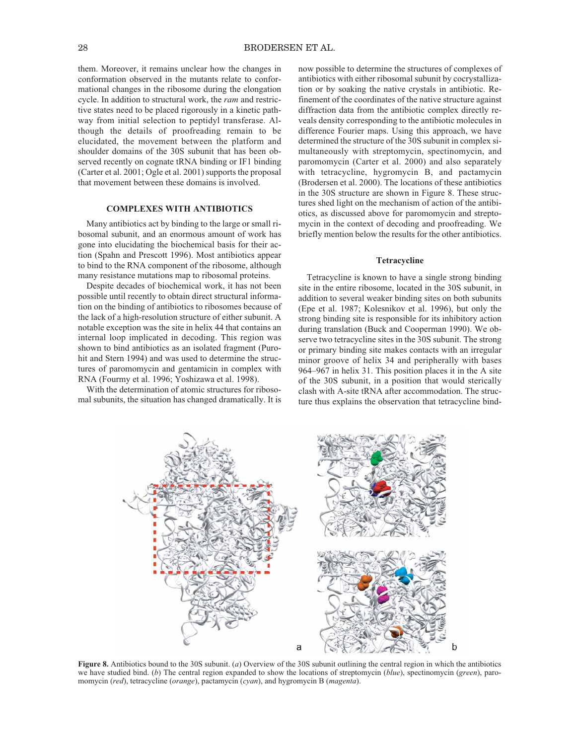them. Moreover, it remains unclear how the changes in conformation observed in the mutants relate to conformational changes in the ribosome during the elongation cycle. In addition to structural work, the *ram* and restrictive states need to be placed rigorously in a kinetic pathway from initial selection to peptidyl transferase. Although the details of proofreading remain to be elucidated, the movement between the platform and shoulder domains of the 30S subunit that has been observed recently on cognate tRNA binding or IF1 binding (Carter et al. 2001; Ogle et al. 2001) supports the proposal that movement between these domains is involved.

## **COMPLEXES WITH ANTIBIOTICS**

Many antibiotics act by binding to the large or small ribosomal subunit, and an enormous amount of work has gone into elucidating the biochemical basis for their action (Spahn and Prescott 1996). Most antibiotics appear to bind to the RNA component of the ribosome, although many resistance mutations map to ribosomal proteins.

Despite decades of biochemical work, it has not been possible until recently to obtain direct structural information on the binding of antibiotics to ribosomes because of the lack of a high-resolution structure of either subunit. A notable exception was the site in helix 44 that contains an internal loop implicated in decoding. This region was shown to bind antibiotics as an isolated fragment (Purohit and Stern 1994) and was used to determine the structures of paromomycin and gentamicin in complex with RNA (Fourmy et al. 1996; Yoshizawa et al. 1998).

With the determination of atomic structures for ribosomal subunits, the situation has changed dramatically. It is now possible to determine the structures of complexes of antibiotics with either ribosomal subunit by cocrystallization or by soaking the native crystals in antibiotic. Refinement of the coordinates of the native structure against diffraction data from the antibiotic complex directly reveals density corresponding to the antibiotic molecules in difference Fourier maps. Using this approach, we have determined the structure of the 30S subunit in complex simultaneously with streptomycin, spectinomycin, and paromomycin (Carter et al. 2000) and also separately with tetracycline, hygromycin B, and pactamycin (Brodersen et al. 2000). The locations of these antibiotics in the 30S structure are shown in Figure 8. These structures shed light on the mechanism of action of the antibiotics, as discussed above for paromomycin and streptomycin in the context of decoding and proofreading. We briefly mention below the results for the other antibiotics.

#### **Tetracycline**

Tetracycline is known to have a single strong binding site in the entire ribosome, located in the 30S subunit, in addition to several weaker binding sites on both subunits (Epe et al. 1987; Kolesnikov et al. 1996), but only the strong binding site is responsible for its inhibitory action during translation (Buck and Cooperman 1990). We observe two tetracycline sites in the 30S subunit. The strong or primary binding site makes contacts with an irregular minor groove of helix 34 and peripherally with bases 964–967 in helix 31. This position places it in the A site of the 30S subunit, in a position that would sterically clash with A-site tRNA after accommodation. The structure thus explains the observation that tetracycline bind-



**Figure 8.** Antibiotics bound to the 30S subunit. (*a*) Overview of the 30S subunit outlining the central region in which the antibiotics we have studied bind. (*b*) The central region expanded to show the locations of streptomycin (*blue*), spectinomycin (*green*), paromomycin (*red*), tetracycline (*orange*), pactamycin (*cyan*), and hygromycin B (*magenta*).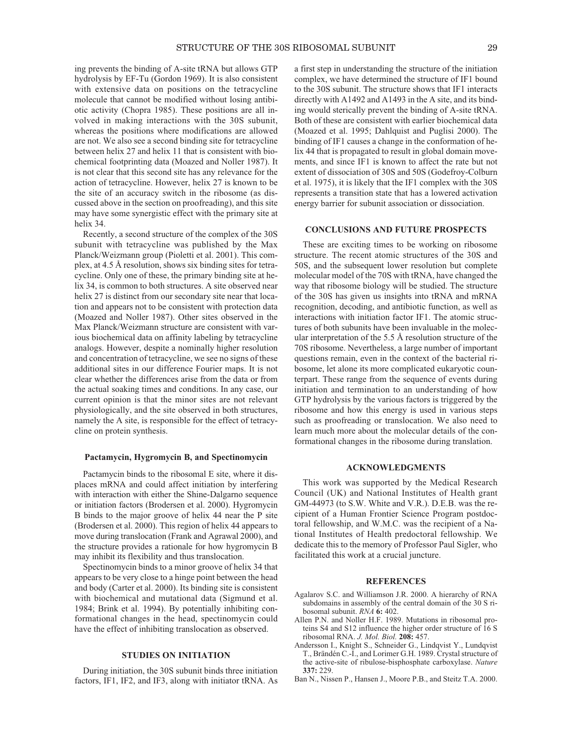ing prevents the binding of A-site tRNA but allows GTP hydrolysis by EF-Tu (Gordon 1969). It is also consistent with extensive data on positions on the tetracycline molecule that cannot be modified without losing antibiotic activity (Chopra 1985). These positions are all involved in making interactions with the 30S subunit, whereas the positions where modifications are allowed are not. We also see a second binding site for tetracycline between helix 27 and helix 11 that is consistent with biochemical footprinting data (Moazed and Noller 1987). It is not clear that this second site has any relevance for the action of tetracycline. However, helix 27 is known to be the site of an accuracy switch in the ribosome (as discussed above in the section on proofreading), and this site may have some synergistic effect with the primary site at helix 34.

Recently, a second structure of the complex of the 30S subunit with tetracycline was published by the Max Planck/Weizmann group (Pioletti et al. 2001). This complex, at 4.5 Å resolution, shows six binding sites for tetracycline. Only one of these, the primary binding site at helix 34, is common to both structures. A site observed near helix 27 is distinct from our secondary site near that location and appears not to be consistent with protection data (Moazed and Noller 1987). Other sites observed in the Max Planck/Weizmann structure are consistent with various biochemical data on affinity labeling by tetracycline analogs. However, despite a nominally higher resolution and concentration of tetracycline, we see no signs of these additional sites in our difference Fourier maps. It is not clear whether the differences arise from the data or from the actual soaking times and conditions. In any case, our current opinion is that the minor sites are not relevant physiologically, and the site observed in both structures, namely the A site, is responsible for the effect of tetracycline on protein synthesis.

### **Pactamycin, Hygromycin B, and Spectinomycin**

Pactamycin binds to the ribosomal E site, where it displaces mRNA and could affect initiation by interfering with interaction with either the Shine-Dalgarno sequence or initiation factors (Brodersen et al. 2000). Hygromycin B binds to the major groove of helix 44 near the P site (Brodersen et al. 2000). This region of helix 44 appears to move during translocation (Frank and Agrawal 2000), and the structure provides a rationale for how hygromycin B may inhibit its flexibility and thus translocation.

Spectinomycin binds to a minor groove of helix 34 that appears to be very close to a hinge point between the head and body (Carter et al. 2000). Its binding site is consistent with biochemical and mutational data (Sigmund et al. 1984; Brink et al. 1994). By potentially inhibiting conformational changes in the head, spectinomycin could have the effect of inhibiting translocation as observed.

# **STUDIES ON INITIATION**

During initiation, the 30S subunit binds three initiation factors, IF1, IF2, and IF3, along with initiator tRNA. As a first step in understanding the structure of the initiation complex, we have determined the structure of IF1 bound to the 30S subunit. The structure shows that IF1 interacts directly with A1492 and A1493 in the A site, and its binding would sterically prevent the binding of A-site tRNA. Both of these are consistent with earlier biochemical data (Moazed et al. 1995; Dahlquist and Puglisi 2000). The binding of IF1 causes a change in the conformation of helix 44 that is propagated to result in global domain movements, and since IF1 is known to affect the rate but not extent of dissociation of 30S and 50S (Godefroy-Colburn et al. 1975), it is likely that the IF1 complex with the 30S represents a transition state that has a lowered activation energy barrier for subunit association or dissociation.

# **CONCLUSIONS AND FUTURE PROSPECTS**

These are exciting times to be working on ribosome structure. The recent atomic structures of the 30S and 50S, and the subsequent lower resolution but complete molecular model of the 70S with tRNA, have changed the way that ribosome biology will be studied. The structure of the 30S has given us insights into tRNA and mRNA recognition, decoding, and antibiotic function, as well as interactions with initiation factor IF1. The atomic structures of both subunits have been invaluable in the molecular interpretation of the 5.5 Å resolution structure of the 70S ribosome. Nevertheless, a large number of important questions remain, even in the context of the bacterial ribosome, let alone its more complicated eukaryotic counterpart. These range from the sequence of events during initiation and termination to an understanding of how GTP hydrolysis by the various factors is triggered by the ribosome and how this energy is used in various steps such as proofreading or translocation. We also need to learn much more about the molecular details of the conformational changes in the ribosome during translation.

# **ACKNOWLEDGMENTS**

This work was supported by the Medical Research Council (UK) and National Institutes of Health grant GM-44973 (to S.W. White and V.R.). D.E.B. was the recipient of a Human Frontier Science Program postdoctoral fellowship, and W.M.C. was the recipient of a National Institutes of Health predoctoral fellowship. We dedicate this to the memory of Professor Paul Sigler, who facilitated this work at a crucial juncture.

# **REFERENCES**

- Agalarov S.C. and Williamson J.R. 2000. A hierarchy of RNA subdomains in assembly of the central domain of the 30 S ribosomal subunit. *RNA* **6:** 402.
- Allen P.N. and Noller H.F. 1989. Mutations in ribosomal proteins S4 and S12 influence the higher order structure of 16 S ribosomal RNA. *J. Mol. Biol.* **208:** 457.
- Andersson I., Knight S., Schneider G., Lindqvist Y., Lundqvist T., Brändén C.-I., and Lorimer G.H. 1989. Crystal structure of the active-site of ribulose-bisphosphate carboxylase. *Nature* **337:** 229.
- Ban N., Nissen P., Hansen J., Moore P.B., and Steitz T.A. 2000.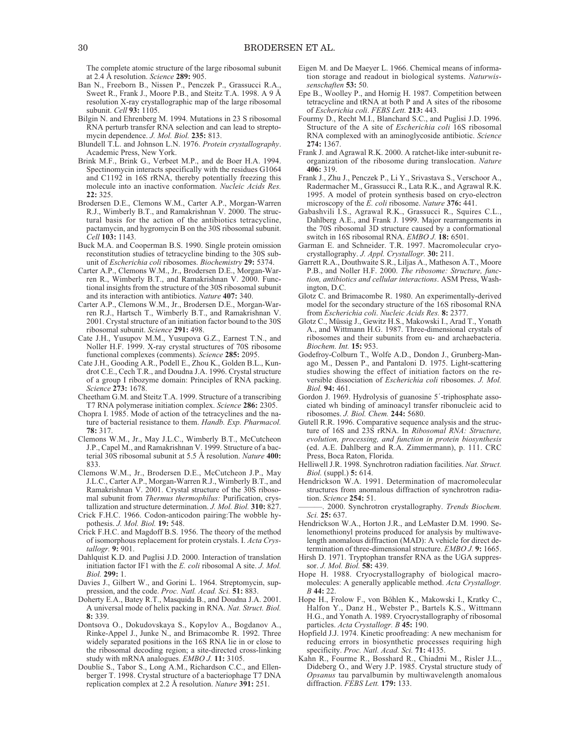The complete atomic structure of the large ribosomal subunit at 2.4 Å resolution. *Science* **289:** 905.

- Ban N., Freeborn B., Nissen P., Penczek P., Grassucci R.A., Sweet R., Frank J., Moore P.B., and Steitz T.A. 1998. A 9 Å resolution X-ray crystallographic map of the large ribosomal subunit. *Cell* **93:** 1105.
- Bilgin N. and Ehrenberg M. 1994. Mutations in 23 S ribosomal RNA perturb transfer RNA selection and can lead to streptomycin dependence. *J. Mol. Biol.* **235:** 813.
- Blundell T.L. and Johnson L.N. 1976. *Protein crystallography*. Academic Press, New York.
- Brink M.F., Brink G., Verbeet M.P., and de Boer H.A. 1994. Spectinomycin interacts specifically with the residues G1064 and C1192 in 16S rRNA, thereby potentially freezing this molecule into an inactive conformation. *Nucleic Acids Res.* **22:** 325.
- Brodersen D.E., Clemons W.M., Carter A.P., Morgan-Warren R.J., Wimberly B.T., and Ramakrishnan V. 2000. The structural basis for the action of the antibiotics tetracycline, pactamycin, and hygromycin B on the 30S ribosomal subunit. *Cell* **103:** 1143.
- Buck M.A. and Cooperman B.S. 1990. Single protein omission reconstitution studies of tetracycline binding to the 30S subunit of *Escherichia coli* ribosomes. *Biochemistry* **29:** 5374.
- Carter A.P., Clemons W.M., Jr., Brodersen D.E., Morgan-Warren R., Wimberly B.T., and Ramakrishnan V. 2000. Functional insights from the structure of the 30S ribosomal subunit and its interaction with antibiotics. *Nature* **407:** 340.
- Carter A.P., Clemons W.M., Jr., Brodersen D.E., Morgan-Warren R.J., Hartsch T., Wimberly B.T., and Ramakrishnan V. 2001. Crystal structure of an initiation factor bound to the 30S ribosomal subunit. *Science* **291:** 498.
- Cate J.H., Yusupov M.M., Yusupova G.Z., Earnest T.N., and Noller H.F. 1999. X-ray crystal structures of 70S ribosome functional complexes (comments). *Science* **285:** 2095.
- Cate J.H., Gooding A.R., Podell E., Zhou K., Golden B.L., Kundrot C.E., Cech T.R., and Doudna J.A. 1996. Crystal structure of a group I ribozyme domain: Principles of RNA packing. *Science* **273:** 1678.
- Cheetham G.M. and Steitz T.A. 1999. Structure of a transcribing T7 RNA polymerase initiation complex. *Science* **286:** 2305.
- Chopra I. 1985. Mode of action of the tetracyclines and the nature of bacterial resistance to them. *Handb. Exp. Pharmacol.* **78:** 317.
- Clemons W.M., Jr., May J.L.C., Wimberly B.T., McCutcheon J.P., Capel M., and Ramakrishnan V. 1999. Structure of a bacterial 30S ribosomal subunit at 5.5 Å resolution. *Nature* **400:** 833.
- Clemons W.M., Jr., Brodersen D.E., McCutcheon J.P., May J.L.C., Carter A.P., Morgan-Warren R.J., Wimberly B.T., and Ramakrishnan V. 2001. Crystal structure of the 30S ribosomal subunit from *Thermus thermophilus:* Purification, crystallization and structure determination. *J. Mol. Biol.* **310:** 827.
- Crick F.H.C. 1966. Codon-anticodon pairing:The wobble hypothesis. *J. Mol. Biol.* **19:** 548.
- Crick F.H.C. and Magdoff B.S. 1956. The theory of the method of isomorphous replacement for protein crystals. I. *Acta Crystallogr.* **9:** 901.
- Dahlquist K.D. and Puglisi J.D. 2000. Interaction of translation initiation factor IF1 with the *E. coli* ribosomal A site. *J. Mol. Biol.* **299:** 1.
- Davies J., Gilbert W., and Gorini L. 1964. Streptomycin, suppression, and the code. *Proc. Natl. Acad. Sci.* **51:** 883.
- Doherty E.A., Batey R.T., Masquida B., and Doudna J.A. 2001. A universal mode of helix packing in RNA. *Nat. Struct. Biol.* **8:** 339.
- Dontsova O., Dokudovskaya S., Kopylov A., Bogdanov A., Rinke-Appel J., Junke N., and Brimacombe R. 1992. Three widely separated positions in the 16S RNA lie in or close to the ribosomal decoding region; a site-directed cross-linking study with mRNA analogues. *EMBO J.* **11:** 3105.
- Doublie S., Tabor S., Long A.M., Richardson C.C., and Ellenberger T. 1998. Crystal structure of a bacteriophage T7 DNA replication complex at 2.2 Å resolution. *Nature* **391:** 251.
- Eigen M. and De Maeyer L. 1966. Chemical means of information storage and readout in biological systems. *Naturwissenschaften* **53:** 50.
- Epe B., Woolley P., and Hornig H. 1987. Competition between tetracycline and tRNA at both P and A sites of the ribosome of *Escherichia coli*. *FEBS Lett.* **213:** 443.
- Fourmy D., Recht M.I., Blanchard S.C., and Puglisi J.D. 1996. Structure of the A site of *Escherichia coli* 16S ribosomal RNA complexed with an aminoglycoside antibiotic. *Science* **274:** 1367.
- Frank J. and Agrawal R.K. 2000. A ratchet-like inter-subunit reorganization of the ribosome during translocation. *Nature* **406:** 319.
- Frank J., Zhu J., Penczek P., Li Y., Srivastava S., Verschoor A., Radermacher M., Grassucci R., Lata R.K., and Agrawal R.K. 1995. A model of protein synthesis based on cryo-electron microscopy of the *E. coli* ribosome. *Nature* **376:** 441.
- Gabashvili I.S., Agrawal R.K., Grassucci R., Squires C.L., Dahlberg A.E., and Frank J. 1999. Major rearrangements in the 70S ribosomal 3D structure caused by a conformational switch in 16S ribosomal RNA. *EMBO J.* **18:** 6501.
- Garman E. and Schneider. T.R. 1997. Macromolecular cryocrystallography. *J. Appl. Crystallogr.* **30:** 211.
- Garrett R.A., Douthwaite S.R., Liljas A., Matheson A.T., Moore P.B., and Noller H.F. 2000. *The ribosome: Structure, function, antibiotics and cellular interactions*. ASM Press, Washington, D.C.
- Glotz C. and Brimacombe R. 1980. An experimentally-derived model for the secondary structure of the 16S ribosomal RNA from *Escherichia coli*. *Nucleic Acids Res.* **8:** 2377.
- Glotz C., Müssig J., Gewitz H.S., Makowski I., Arad T., Yonath A., and Wittmann H.G. 1987. Three-dimensional crystals of ribosomes and their subunits from eu- and archaebacteria. *Biochem. Int.* **15:** 953.
- Godefroy-Colburn T., Wolfe A.D., Dondon J., Grunberg-Manago M., Dessen P., and Pantaloni D. 1975. Light-scattering studies showing the effect of initiation factors on the reversible dissociation of *Escherichia coli* ribosomes. *J. Mol. Biol.* **94:** 461.
- Gordon J. 1969. Hydrolysis of guanosine 5´-triphosphate associated wh binding of aminoacyl transfer ribonucleic acid to ribosomes. *J. Biol. Chem.* **244:** 5680.
- Gutell R.R. 1996. Comparative sequence analysis and the structure of 16S and 23S rRNA. In *Ribosomal RNA: Structure, evolution, processing, and function in protein biosynthesis* (ed. A.E. Dahlberg and R.A. Zimmermann), p. 111. CRC Press, Boca Raton, Florida.
- Helliwell J.R. 1998. Synchrotron radiation facilities. *Nat. Struct. Biol.* (suppl.) **5:** 614.
- Hendrickson W.A. 1991. Determination of macromolecular structures from anomalous diffraction of synchrotron radiation. *Science* **254:** 51.
- ———. 2000. Synchrotron crystallography. *Trends Biochem. Sci.* **25:** 637.
- Hendrickson W.A., Horton J.R., and LeMaster D.M. 1990. Selenomethionyl proteins produced for analysis by multiwavelength anomalous diffraction (MAD): A vehicle for direct determination of three-dimensional structure. *EMBO J.* **9:** 1665.
- Hirsh D. 1971. Tryptophan transfer RNA as the UGA suppressor. *J. Mol. Biol.* **58:** 439.
- Hope H. 1988. Cryocrystallography of biological macromolecules: A generally applicable method. *Acta Crystallogr. B* **44:** 22.
- Hope H., Frolow F., von Böhlen K., Makowski I., Kratky C., Halfon Y., Danz H., Webster P., Bartels K.S., Wittmann H.G., and Yonath A. 1989. Cryocrystallography of ribosomal particles. *Acta Crystallogr. B* **45:** 190.
- Hopfield J.J. 1974. Kinetic proofreading: A new mechanism for reducing errors in biosynthetic processes requiring high specificity. *Proc. Natl. Acad. Sci.* **71:** 4135.
- Kahn R., Fourme R., Bosshard R., Chiadmi M., Risler J.L., Dideberg O., and Wery J.P. 1985. Crystal structure study of *Opsanus* tau parvalbumin by multiwavelength anomalous diffraction. *FEBS Lett.* **179:** 133.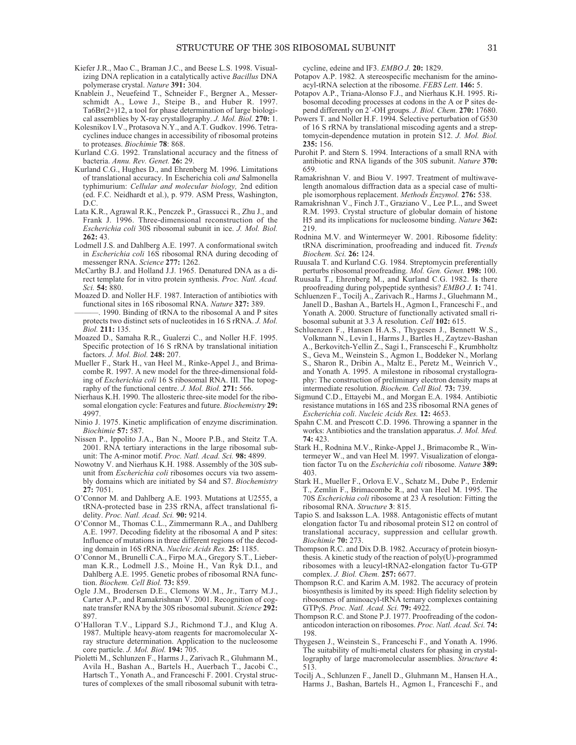- Kiefer J.R., Mao C., Braman J.C., and Beese L.S. 1998. Visualizing DNA replication in a catalytically active *Bacillus* DNA polymerase crystal. *Nature* **391:** 304.
- Knablein J., Neuefeind T., Schneider F., Bergner A., Messerschmidt A., Lowe J., Steipe B., and Huber R. 1997. Ta6Br(2+)12, a tool for phase determination of large biological assemblies by X-ray crystallography. *J. Mol. Biol.* **270:** 1.
- Kolesnikov I.V., Protasova N.Y., and A.T. Gudkov. 1996. Tetracyclines induce changes in accessibility of ribosomal proteins to proteases. *Biochimie* **78**: 868.
- Kurland C.G. 1992. Translational accuracy and the fitness of bacteria. *Annu. Rev. Genet.* **26:** 29.
- Kurland C.G., Hughes D., and Ehrenberg M. 1996. Limitations of translational accuracy. In Escherichia coli *and* Salmonella typhimurium: *Cellular and molecular biology,* 2nd edition (ed. F.C. Neidhardt et al.), p. 979. ASM Press, Washington, D.C.
- Lata K.R., Agrawal R.K., Penczek P., Grassucci R., Zhu J., and Frank J. 1996. Three-dimensional reconstruction of the *Escherichia coli* 30S ribosomal subunit in ice. *J. Mol. Biol.* **262:** 43.
- Lodmell J.S. and Dahlberg A.E. 1997. A conformational switch in *Escherichia coli* 16S ribosomal RNA during decoding of messenger RNA. *Science* **277:** 1262.
- McCarthy B.J. and Holland J.J. 1965. Denatured DNA as a direct template for in vitro protein synthesis. *Proc. Natl. Acad. Sci.* **54:** 880.
- Moazed D. and Noller H.F. 1987. Interaction of antibiotics with functional sites in 16S ribosomal RNA. *Nature* **327:** 389.
- 1990. Binding of tRNA to the ribosomal A and P sites protects two distinct sets of nucleotides in 16 S rRNA. *J. Mol. Biol.* **211:** 135.
- Moazed D., Samaha R.R., Gualerzi C., and Noller H.F. 1995. Specific protection of 16 S rRNA by translational initiation factors. *J. Mol. Biol.* **248:** 207.
- Mueller F., Stark H., van Heel M., Rinke-Appel J., and Brimacombe R. 1997. A new model for the three-dimensional folding of *Escherichia coli* 16 S ribosomal RNA. III. The topography of the functional centre. *J. Mol. Biol.* **271:** 566.
- Nierhaus K.H. 1990. The allosteric three-site model for the ribosomal elongation cycle: Features and future. *Biochemistry* **29:** 4997.
- Ninio J. 1975. Kinetic amplification of enzyme discrimination. *Biochimie* **57:** 587.
- Nissen P., Ippolito J.A., Ban N., Moore P.B., and Steitz T.A. 2001. RNA tertiary interactions in the large ribosomal subunit: The A-minor motif. *Proc. Natl. Acad. Sci.* **98:** 4899.
- Nowotny V. and Nierhaus K.H. 1988. Assembly of the 30S subunit from *Escherichia coli* ribosomes occurs via two assembly domains which are initiated by S4 and S7. *Biochemistry* **27:** 7051.
- O'Connor M. and Dahlberg A.E. 1993. Mutations at U2555, a tRNA-protected base in 23S rRNA, affect translational fidelity. *Proc. Natl. Acad. Sci.* **90:** 9214.
- O'Connor M., Thomas C.L., Zimmermann R.A., and Dahlberg A.E. 1997. Decoding fidelity at the ribosomal A and P sites: Influence of mutations in three different regions of the decoding domain in 16S rRNA. *Nucleic Acids Res.* **25:** 1185.
- O'Connor M., Brunelli C.A., Firpo M.A., Gregory S.T., Lieberman K.R., Lodmell J.S., Moine H., Van Ryk D.I., and Dahlberg A.E. 1995. Genetic probes of ribosomal RNA function. *Biochem. Cell Biol.* **73:** 859.
- Ogle J.M., Brodersen D.E., Clemons W.M., Jr., Tarry M.J., Carter A.P., and Ramakrishnan V. 2001. Recognition of cognate transfer RNA by the 30S ribosomal subunit. *Science* **292:** 897.
- O'Halloran T.V., Lippard S.J., Richmond T.J., and Klug A. 1987. Multiple heavy-atom reagents for macromolecular Xray structure determination. Application to the nucleosome core particle. *J. Mol. Biol.* **194:** 705.
- Pioletti M., Schlunzen F., Harms J., Zarivach R., Gluhmann M., Avila H., Bashan A., Bartels H., Auerbach T., Jacobi C., Hartsch T., Yonath A., and Franceschi F. 2001. Crystal structures of complexes of the small ribosomal subunit with tetra-

cycline, edeine and IF3. *EMBO J.* **20:** 1829.

- Potapov A.P. 1982. A stereospecific mechanism for the aminoacyl-tRNA selection at the ribosome. *FEBS Lett*. **146:** 5.
- Potapov A.P., Triana-Alonso F.J., and Nierhaus K.H. 1995. Ribosomal decoding processes at codons in the A or P sites depend differently on 2´-OH groups. *J. Biol. Chem.* **270:** 17680.
- Powers T. and Noller H.F. 1994. Selective perturbation of G530 of 16 S rRNA by translational miscoding agents and a streptomycin-dependence mutation in protein S12. *J. Mol. Biol.* **235:** 156.
- Purohit P. and Stern S. 1994. Interactions of a small RNA with antibiotic and RNA ligands of the 30S subunit. *Nature* **370:** 659.
- Ramakrishnan V. and Biou V. 1997. Treatment of multiwavelength anomalous diffraction data as a special case of multiple isomorphous replacement. *Methods Enzymol.* **276:** 538.
- Ramakrishnan V., Finch J.T., Graziano V., Lee P.L., and Sweet R.M. 1993. Crystal structure of globular domain of histone H5 and its implications for nucleosome binding. *Nature* **362:** 219.
- Rodnina M.V. and Wintermeyer W. 2001. Ribosome fidelity: tRNA discrimination, proofreading and induced fit. *Trends Biochem. Sci.* **26:** 124.
- Ruusala T. and Kurland C.G. 1984. Streptomycin preferentially perturbs ribosomal proofreading. *Mol. Gen. Genet.* **198:** 100.
- Ruusala T., Ehrenberg M., and Kurland C.G. 1982. Is there proofreading during polypeptide synthesis? *EMBO J.* **1:** 741.
- Schluenzen F., Tocilj A., Zarivach R., Harms J., Gluehmann M., Janell D., Bashan A., Bartels H., Agmon I., Franceschi F., and Yonath A. 2000. Structure of functionally activated small ribosomal subunit at 3.3 Å resolution. *Cell* **102:** 615.
- Schluenzen F., Hansen H.A.S., Thygesen J., Bennett W.S., Volkmann N., Levin I., Harms J., Bartles H., Zaytzev-Bashan A., Berkovitch-Yellin Z., Sagi I., Fransceschi F., Krumbholtz S., Geva M., Weinstein S., Agmon I., Boddeker N., Morlang S., Sharon R., Dribin A., Maltz E., Peretz M., Weinrich V., and Yonath A. 1995. A milestone in ribosomal crystallography: The construction of preliminary electron density maps at intermediate resolution. *Biochem. Cell Biol.* **73:** 739.
- Sigmund C.D., Ettayebi M., and Morgan E.A. 1984. Antibiotic resistance mutations in 16S and 23S ribosomal RNA genes of *Escherichia coli*. *Nucleic Acids Res.* **12:** 4653.
- Spahn C.M. and Prescott C.D. 1996. Throwing a spanner in the works: Antibiotics and the translation apparatus. *J. Mol. Med.* **74:** 423.
- Stark H., Rodnina M.V., Rinke-Appel J., Brimacombe R., Wintermeyer W., and van Heel M. 1997. Visualization of elongation factor Tu on the *Escherichia coli* ribosome. *Nature* **389:** 403.
- Stark H., Mueller F., Orlova E.V., Schatz M., Dube P., Erdemir T., Zemlin F., Brimacombe R., and van Heel M. 1995. The 70S *Escherichia coli* ribosome at 23 Å resolution: Fitting the ribosomal RNA. *Structure* **3**: 815.
- Tapio S. and Isaksson L.A. 1988. Antagonistic effects of mutant elongation factor Tu and ribosomal protein S12 on control of translational accuracy, suppression and cellular growth. *Biochimie* **70:** 273.
- Thompson R.C. and Dix D.B. 1982. Accuracy of protein biosynthesis. A kinetic study of the reaction of poly(U)-programmed ribosomes with a leucyl-tRNA2-elongation factor Tu-GTP complex. *J. Biol. Chem.* **257:** 6677.
- Thompson R.C. and Karim A.M. 1982. The accuracy of protein biosynthesis is limited by its speed: High fidelity selection by ribosomes of aminoacyl-tRNA ternary complexes containing GTPγS. *Proc. Natl. Acad. Sci.* **79:** 4922.
- Thompson R.C. and Stone P.J. 1977. Proofreading of the codonanticodon interaction on ribosomes. *Proc. Natl. Acad. Sci.* **74:** 198.
- Thygesen J., Weinstein S., Franceschi F., and Yonath A. 1996. The suitability of multi-metal clusters for phasing in crystallography of large macromolecular assemblies. *Structure* **4:** 513.
- Tocilj A., Schlunzen F., Janell D., Gluhmann M., Hansen H.A., Harms J., Bashan, Bartels H., Agmon I., Franceschi F., and